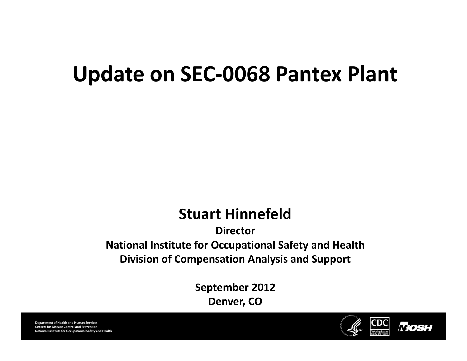## **Update on SEC‐0068 Pantex Plant**

#### **Stuart Hinnefeld**

**DirectorNational Institute for Occupational Safety and Health Division of Compensation Analysis and Support**

> **September 2012 Denver, CO**

**Department of Health and Human Services Centers for Disease Control and Prevention** National Institute for Occupational Safety and Health

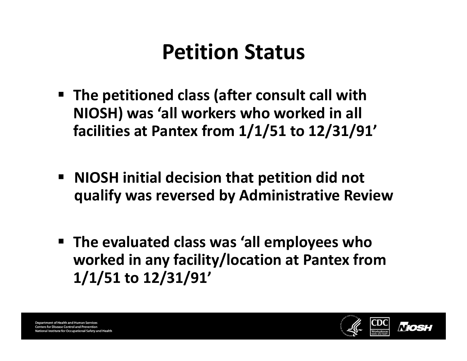# **Petition Status**

- **The petitioned class (after consult call with NIOSH) was 'all workers who worked in all facilities at Pantex from 1/1/51 to 12/31/91'**
- **NIOSH initial decision that petition did not qualify was reversed by Administrative Review**
- **The evaluated class was 'all employees who worked in any facility/location at Pantex from 1/1/51 to 12/31/91'**

**Department of Health and Human Services Centers for Disease Control and Prevention** nal Institute for Occupational Safety and Health

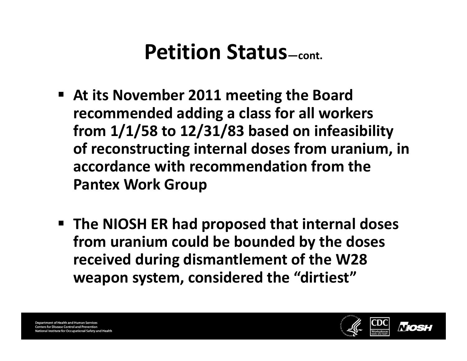- **At its November 2011 meeting the Board recommended adding <sup>a</sup> class for all workers from 1/1/58 to 12/31/83 based on infeasibility of reconstructing internal doses from uranium, in accordance with recommendation from the Pantex Work Group**
- **The NIOSH ER had proposed that internal doses from uranium could be bounded by the doses received during dismantlement of the W28 weapon system, considered the "dirtiest"**

**Department of Health and Human Services Centers for Disease Control and Prevention** lational Institute for Occupational Safety and Health

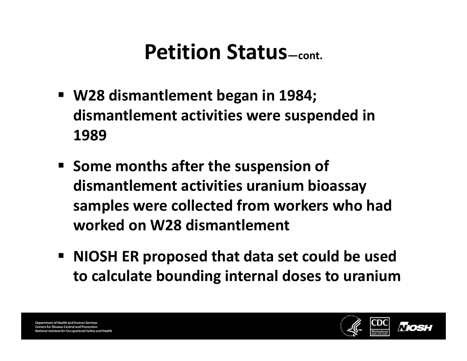- **W28 dismantlement began in 1984; dismantlement activities were suspended in 1989**
- **Some months after the suspension of dismantlement activities uranium bioassay samples were collected from workers who had worked on W28 dismantlement**
- **NIOSH ER proposed that data set could be used to calculate bounding internal doses to uranium**

**Department of Health and Human Services Centers for Disease Control and Prevention** nal Institute for Occupational Safety and Health

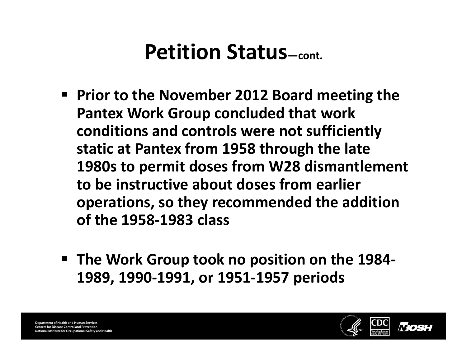- **Prior to the November 2012 Board meeting the Pantex Work Group concluded that work conditions and controls were not sufficiently static at Pantex from 1958 through the late 1980s to permit doses from W28 dismantlement to be instructive about doses from earlier operations, so they recommended the addition of the 1958‐1983 class**
- **The Work Group took no position on the 1984‐ 1989, 1990‐1991, or 1951‐1957 periods**

**Department of Health and Human Services Centers for Disease Control and Prevention** lational Institute for Occupational Safety and Health

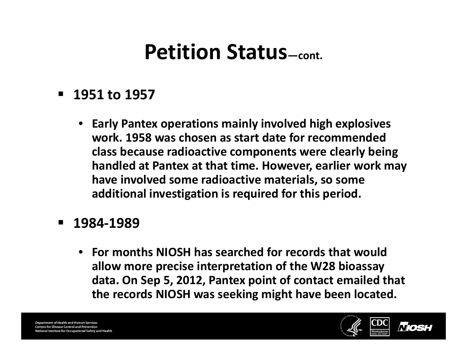#### **1951 to 1957**

• **Early Pantex operations mainly involved high explosives work. 1958 was chosen as start date for recommended class because radioactive components were clearly being handled at Pantex at that time. However, earlier work may have involved some radioactive materials, so some additional investigation is required for this period.**

#### **1984‐1989**

• **For months NIOSH has searched for records that would allow more precise interpretation of the W28 bioassay data. On Sep 5, 2012, Pantex point of contact emailed that the records NIOSH was seeking might have been located.**

**Department of Health and Human Services Centers for Disease Control and Prevention** National Institute for Occupational Safety and Health